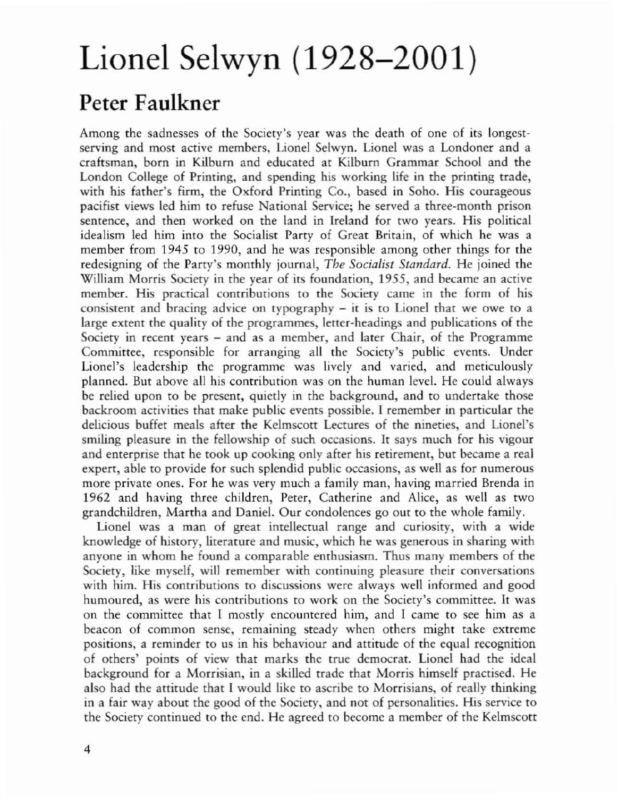## Lionel Selwyn (1928-2001)

## Peter Faulkner

Among the sadnesses of the Society's year was the death of one of its longestserving and most active members, Lionel Selwyn. Lionel was a Londoner and a craftsman, born in Kilburn and educated at Kilburn Grammar School and the London College of Printing, and spending his working life in the printing trade, with his father's firm, the Oxford Printing Co., based in Soho. His courageous pacifist views led him to refuse National Service; he served a three-month prison sentence, and then worked on the land in Ireland for two years. His political idealism led him inro the Socialist Party of Great Britain, of which he was a member from 1945 to 1990, and he was responsible among other things for the redesigning of the Party's monthly journal, *The Socialist Standard.* He joined the William Morris Society in the year of its foundation, 1955, and became an active member. His practical contributions to the Society came in the form of his consistent and bracing advice on typography - it is to Lionel that we owe to a large extent the quality of the programmes, letter-headings and publications of the Society in recent years – and as a member, and later Chair, of the Programme Committee, responsible for arranging all the Society's public events. Under Lionel's leadership the programme was lively and varied, and meticulously planned. But above all his contribution was on the human leveL He could always be relied upon to be present, quietly in the background, and to undertake those backroom activities that make public events possible. I remember in particular the delicious buffet meals after the Kelmscott Lectures of the nineties, and Lionel's smiling pleasure in the fellowship of such occasions. It says much for his vigour and enterprise that he took up cooking only after his retirement, but became a real expert, able to provide for such splendid public occasions, as well as for numerous more private ones. For he was very much a family man, having married Brenda in 1962 and having three children, Peter, Catherine and Alice, as wdl as two grandchildren, Martha and Daniel. Our condolences go our to the whole family.

Lionel was a man of great intellectual range and curiosity, with a wide knowledge of history, literature and music, which he was generous in sharing with anyone in whom he found a comparable enrhusiasm. Thus many members of the Society, like myself, will remember with continuing pleasure their conversations with him. His contributions to discussions were always well informed and good humoured, as were his contributions to work on the Society's committee. It was on the committee that I mostly encountered him, and I came to see him as a beacon of common sense, remaining steady when others might take extreme positions, a reminder to us in his behaviour and attitude of the equal recognition of others' points of view that marks the true democrat. Lionel had the ideal background for a Morrisian, in a skilled trade that Morris himself practised. He also had the attitude that I would like to ascribe to Morrisians, of really thinking in a fair way about the good of the Society, and not of personalities. His service to the Society continued to the end. He agreed to become a member of rhe Kelmscott